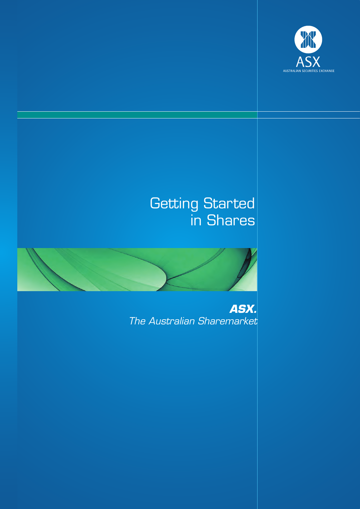

# Getting Started in Shares



*ASX.* The Australian Sharemarket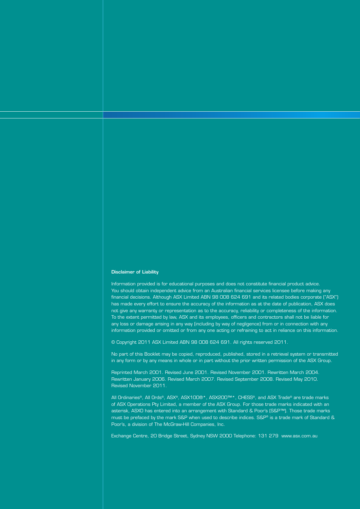#### Disclaimer of Liability

Information provided is for educational purposes and does not constitute financial product advice. You should obtain independent advice from an Australian financial services licensee before making any financial decisions. Although ASX Limited ABN 98 008 624 691 and its related bodies corporate ("ASX") has made every effort to ensure the accuracy of the information as at the date of publication, ASX does not give any warranty or representation as to the accuracy, reliability or completeness of the information. To the extent permitted by law, ASX and its employees, officers and contractors shall not be liable for any loss or damage arising in any way (including by way of negligence) from or in connection with any information provided or omitted or from any one acting or refraining to act in reliance on this information.

© Copyright 2011 ASX Limited ABN 98 008 624 691. All rights reserved 2011.

No part of this Booklet may be copied, reproduced, published, stored in a retrieval system or transmitted in any form or by any means in whole or in part without the prior written permission of the ASX Group.

Reprinted March 2001. Revised June 2001. Revised November 2001. Rewritten March 2004. Rewritten January 2006. Revised March 2007. Revised September 2008. Revised May 2010. Revised November 2011.

All Ordinaries®, All Ords®, ASX®, ASX100®\*, ASX200™\*, CHESS®, and ASX Trade® are trade marks of ASX Operations Pty Limited, a member of the ASX Group. For those trade marks indicated with an asterisk, ASXO has entered into an arrangement with Standard & Poor's (S&P™). Those trade marks must be prefaced by the mark S&P when used to describe indices. S&P® is a trade mark of Standard & Poor's, a division of The McGraw-Hill Companies, Inc.

Exchange Centre, 20 Bridge Street, Sydney NSW 2000 Telephone: 131 279 www.asx.com.au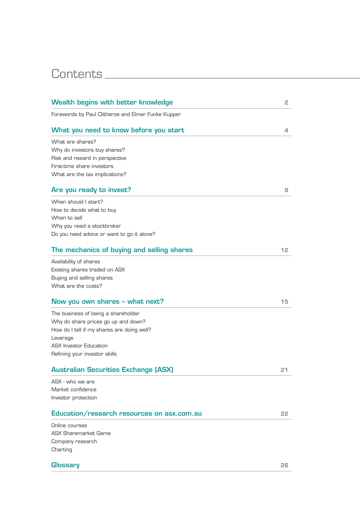## Contents

| Wealth begins with better knowledge                | 2  |
|----------------------------------------------------|----|
| Forewords by Paul Clitheroe and Elmer Funke Kupper |    |
| What you need to know before you start             | 4  |
| What are shares?                                   |    |
| Why do investors buy shares?                       |    |
| Risk and reward in perspective                     |    |
| First-time share investors                         |    |
| What are the tax implications?                     |    |
| Are you ready to invest?                           | 9  |
| When should I start?                               |    |
| How to decide what to buy                          |    |
| When to sell                                       |    |
| Why you need a stockbroker                         |    |
| Do you need advice or want to go it alone?         |    |
| The mechanics of buying and selling shares         | 12 |
| Availability of shares                             |    |
| Existing shares traded on ASX                      |    |
| Buying and selling shares                          |    |
| What are the costs?                                |    |
| Now you own shares - what next?                    | 15 |
| The business of being a shareholder                |    |
| Why do share prices go up and down?                |    |
| How do I tell if my shares are doing well?         |    |
| Leverage                                           |    |
| <b>ASX Investor Education</b>                      |    |
| Refining your investor skills                      |    |
| <b>Australian Securities Exchange (ASX)</b>        | 21 |
| ASX - who we are                                   |    |
| Market confidence                                  |    |
| Investor protection                                |    |
| Education/research resources on asx.com.au         | 22 |
| Online courses                                     |    |
| <b>ASX Sharemarket Game</b>                        |    |
| Company research                                   |    |
| Charting                                           |    |
|                                                    |    |

## Glossary 26 and 26 and 26 and 26 and 26 and 26 and 26 and 26 and 26 and 26 and 26 and 26 and 26 and 26 and 26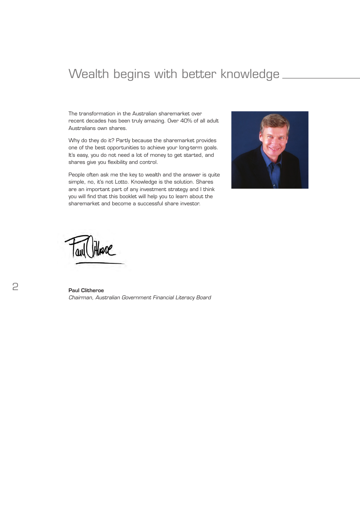## Wealth begins with better knowledge  $\_\_$

The transformation in the Australian sharemarket over recent decades has been truly amazing. Over 40% of all adult Australians own shares.

Why do they do it? Partly because the sharemarket provides one of the best opportunities to achieve your long-term goals. It's easy, you do not need a lot of money to get started, and shares give you flexibility and control.

People often ask me the key to wealth and the answer is quite simple, no, it's not Lotto. Knowledge is the solution. Shares are an important part of any investment strategy and I think you will find that this booklet will help you to learn about the sharemarket and become a successful share investor.



poe

Paul Clitheroe Chairman, Australian Government Financial Literacy Board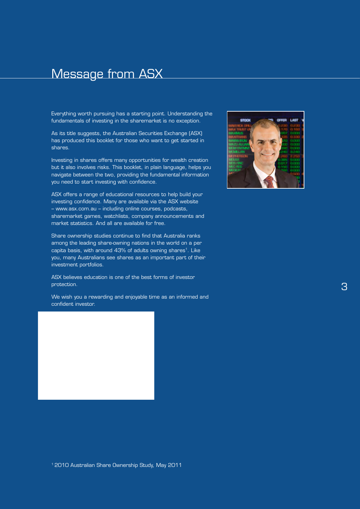## Message from ASX

Everything worth pursuing has a starting point. Understanding the fundamentals of investing in the sharemarket is no exception.

As its title suggests, the Australian Securities Exchange (ASX) has produced this booklet for those who want to get started in shares.

Investing in shares offers many opportunities for wealth creation but it also involves risks. This booklet, in plain language, helps you navigate between the two, providing the fundamental information you need to start investing with confidence.

ASX offers a range of educational resources to help build your investing confidence. Many are available via the ASX website – www.asx.com.au – including online courses, podcasts, sharemarket games, watchlists, company announcements and market statistics. And all are available for free.

Share ownership studies continue to find that Australia ranks among the leading share-owning nations in the world on a per capita basis, with around 43% of adults owning shares<sup>1</sup>. Like you, many Australians see shares as an important part of their investment portfolios.

ASX believes education is one of the best forms of investor protection.

We wish you a rewarding and enjoyable time as an informed and confident investor.

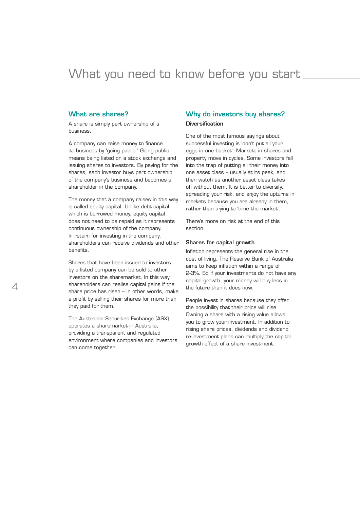## What you need to know before you start

### What are shares?

A share is simply part ownership of a business.

A company can raise money to finance its business by 'going public.' Going public means being listed on a stock exchange and issuing shares to investors. By paying for the shares, each investor buys part ownership of the company's business and becomes a shareholder in the company.

The money that a company raises in this way is called equity capital. Unlike debt capital which is borrowed money, equity capital does not need to be repaid as it represents continuous ownership of the company. In return for investing in the company, shareholders can receive dividends and other benefits.

Shares that have been issued to investors by a listed company can be sold to other investors on the sharemarket. In this way, shareholders can realise capital gains if the share price has risen – in other words, make a profit by selling their shares for more than they paid for them.

The Australian Securities Exchange (ASX) operates a sharemarket in Australia, providing a transparent and regulated environment where companies and investors can come together.

## Why do investors buy shares? Diversification

One of the most famous sayings about successful investing is 'don't put all your eggs in one basket'. Markets in shares and property move in cycles. Some investors fall into the trap of putting all their money into one asset class – usually at its peak, and then watch as another asset class takes off without them. It is better to diversify, spreading your risk, and enjoy the upturns in markets because you are already in them, rather than trying to 'time the market'.

There's more on risk at the end of this section.

### Shares for capital growth

Inflation represents the general rise in the cost of living. The Reserve Bank of Australia aims to keep inflation within a range of 2-3%. So if your investments do not have any capital growth, your money will buy less in the future than it does now.

People invest in shares because they offer the possibility that their price will rise. Owning a share with a rising value allows you to grow your investment. In addition to rising share prices, dividends and dividend re-investment plans can multiply the capital growth effect of a share investment.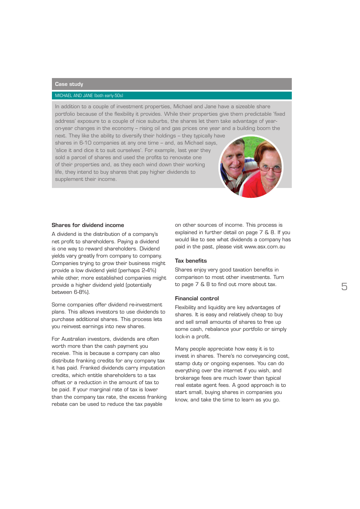### Case study

### MICHAEL AND JANE (both early-50s)

 In addition to a couple of investment properties, Michael and Jane have a sizeable share portfolio because of the flexibility it provides. While their properties give them predictable 'fixed address' exposure to a couple of nice suburbs, the shares let them take advantage of yearon-year changes in the economy – rising oil and gas prices one year and a building boom the

next. They like the ability to diversify their holdings – they typically have shares in 6-10 companies at any one time – and, as Michael says, 'slice it and dice it to suit ourselves'. For example, last year they sold a parcel of shares and used the profits to renovate one of their properties and, as they each wind down their working life, they intend to buy shares that pay higher dividends to supplement their income.



### Shares for dividend income

A dividend is the distribution of a company's net profit to shareholders. Paying a dividend is one way to reward shareholders. Dividend yields vary greatly from company to company. Companies trying to grow their business might provide a low dividend yield (perhaps 2-4%) while other, more established companies might provide a higher dividend yield (potentially between 6-8%).

Some companies offer dividend re-investment plans. This allows investors to use dividends to purchase additional shares. This process lets you reinvest earnings into new shares.

For Australian investors, dividends are often worth more than the cash payment you receive. This is because a company can also distribute franking credits for any company tax it has paid. Franked dividends carry imputation credits, which entitle shareholders to a tax offset or a reduction in the amount of tax to be paid. If your marginal rate of tax is lower than the company tax rate, the excess franking rebate can be used to reduce the tax payable

on other sources of income. This process is explained in further detail on page 7 & 8. If you would like to see what dividends a company has paid in the past, please visit www.asx.com.au

### Tax benefits

Shares enjoy very good taxation benefits in comparison to most other investments. Turn to page 7 & 8 to find out more about tax.

#### Financial control

Flexibility and liquidity are key advantages of shares. It is easy and relatively cheap to buy and sell small amounts of shares to free up some cash, rebalance your portfolio or simply lock-in a profit.

Many people appreciate how easy it is to invest in shares. There's no conveyancing cost, stamp duty or ongoing expenses. You can do everything over the internet if you wish, and brokerage fees are much lower than typical real estate agent fees. A good approach is to start small, buying shares in companies you know, and take the time to learn as you go.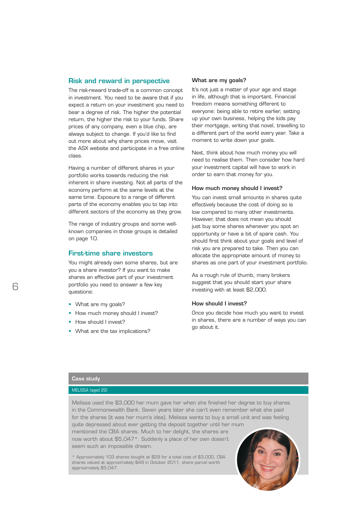### Risk and reward in perspective

The risk-reward trade-off is a common concept in investment. You need to be aware that if you expect a return on your investment you need to bear a degree of risk. The higher the potential return, the higher the risk to your funds. Share prices of any company, even a blue chip, are always subject to change. If you'd like to find out more about why share prices move, visit the ASX website and participate in a free online class.

Having a number of different shares in your portfolio works towards reducing the risk inherent in share investing. Not all parts of the economy perform at the same levels at the same time. Exposure to a range of different parts of the economy enables you to tap into different sectors of the economy as they grow.

The range of industry groups and some wellknown companies in those groups is detailed on page 10.

### First-time share investors

You might already own some shares, but are you a share investor? If you want to make shares an effective part of your investment portfolio you need to answer a few key questions:

- What are my goals?
- How much money should I invest?
- How should I invest?
- What are the tax implications?

### What are my goals?

It's not just a matter of your age and stage in life, although that is important. Financial freedom means something different to everyone: being able to retire earlier, setting up your own business, helping the kids pay their mortgage, writing that novel, travelling to a different part of the world every year. Take a moment to write down your goals.

Next, think about how much money you will need to realise them. Then consider how hard your investment capital will have to work in order to earn that money for you.

### How much money should I invest?

You can invest small amounts in shares quite effectively because the cost of doing so is low compared to many other investments. However, that does not mean you should just buy some shares whenever you spot an opportunity or have a bit of spare cash. You should first think about your goals and level of risk you are prepared to take. Then you can allocate the appropriate amount of money to shares as one part of your investment portfolio.

As a rough rule of thumb, many brokers suggest that you should start your share investing with at least \$2,000.

### How should I invest?

Once you decide how much you want to invest in shares, there are a number of ways you can go about it.

### Case study

#### MELISSA (aged 29)

Melissa used the \$3,000 her mum gave her when she finished her degree to buy shares in the Commonwealth Bank. Seven years later she can't even remember what she paid for the shares (it was her mum's idea). Melissa wants to buy a small unit and was feeling quite depressed about ever getting the deposit together until her mum mentioned the CBA shares. Much to her delight, the shares are now worth about \$5,047\*. Suddenly a place of her own doesn't

seem such an impossible dream.

\* Approximately 103 shares bought at \$29 for a total cost of \$3,000, CBA shares valued at approximately \$49 in October 2011, share parcel worth approximately \$5,047.

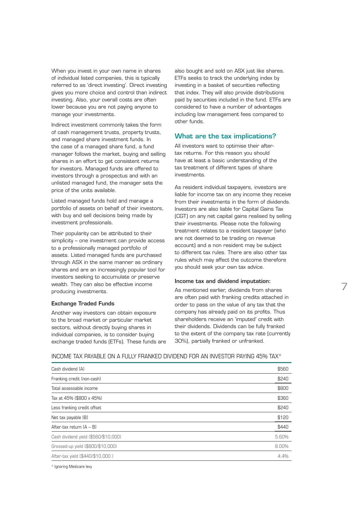When you invest in your own name in shares of individual listed companies, this is typically referred to as 'direct investing'. Direct investing gives you more choice and control than indirect investing. Also, your overall costs are often lower because you are not paying anyone to manage your investments.

Indirect investment commonly takes the form of cash management trusts, property trusts, and managed share investment funds. In the case of a managed share fund, a fund manager follows the market, buying and selling shares in an effort to get consistent returns for investors. Managed funds are offered to investors through a prospectus and with an unlisted managed fund, the manager sets the price of the units available.

Listed managed funds hold and manage a portfolio of assets on behalf of their investors, with buy and sell decisions being made by investment professionals.

Their popularity can be attributed to their simplicity – one investment can provide access to a professionally managed portfolio of assets. Listed managed funds are purchased through ASX in the same manner as ordinary shares and are an increasingly popular tool for investors seeking to accumulate or preserve wealth. They can also be effective income producing investments.

### Exchange Traded Funds

Another way investors can obtain exposure to the broad market or particular market sectors, without directly buying shares in individual companies, is to consider buying exchange traded funds (ETFs). These funds are

also bought and sold on ASX just like shares. ETFs seeks to track the underlying index by investing in a basket of securities reflecting that index. They will also provide distributions paid by securities included in the fund. ETFs are considered to have a number of advantages including low management fees compared to other funds.

## What are the tax implications?

All investors want to optimise their aftertax returns. For this reason you should have at least a basic understanding of the tax treatment of different types of share investments.

As resident individual taxpayers, investors are liable for income tax on any income they receive from their investments in the form of dividends. Investors are also liable for Capital Gains Tax (CGT) on any net capital gains realised by selling their investments. Please note the following treatment relates to a resident taxpayer (who are not deemed to be trading on revenue account) and a non resident may be subject to different tax rules. There are also other tax rules which may affect the outcome therefore you should seek your own tax advice.

### Income tax and dividend imputation:

As mentioned earlier, dividends from shares are often paid with franking credits attached in order to pass on the value of any tax that the company has already paid on its profits. Thus shareholders receive an 'imputed' credit with their dividends. Dividends can be fully franked to the extent of the company tax rate (currently 30%), partially franked or unfranked.

### INCOME TAX PAYABLE ON A FULLY FRANKED DIVIDEND FOR AN INVESTOR PAYING 45% TAX\*

| Cash dividend [A]                    | \$560 |
|--------------------------------------|-------|
| Franking credit (non-cash)           | \$240 |
| Total assessable income              | \$800 |
| Tax at 45% (\$800 x 45%)             | \$360 |
| Less franking credit offset          | \$240 |
| Net tax payable [B]                  | \$120 |
| After-tax return $[A - B]$           | \$440 |
| Cash dividend yield (\$560/\$10,000) | 5.60% |
| Grossed-up yield (\$800/\$10,000)    | 8.00% |
| After-tax yield (\$440/\$10,000)     | 4.4%  |

\* Ignoring Medicare levy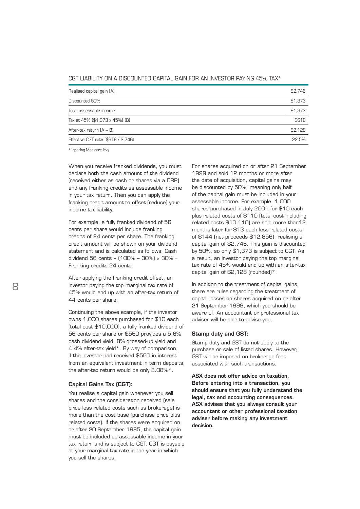| CGT LIABILITY ON A DISCOUNTED CAPITAL GAIN FOR AN INVESTOR PAYING 45% TAX* |  |  |  |  |  |  |  |  |  |
|----------------------------------------------------------------------------|--|--|--|--|--|--|--|--|--|
|----------------------------------------------------------------------------|--|--|--|--|--|--|--|--|--|

| Realised capital gain [A]          | \$2.746 |
|------------------------------------|---------|
| Discounted 50%                     | \$1,373 |
| Total assessable income            | \$1.373 |
| Tax at 45% (\$1,373 x 45%) [B]     | \$618   |
| After-tax return $[A - B]$         | \$2.128 |
| Effective CGT rate (\$618 / 2,746) | 22.5%   |

\* Ignoring Medicare levy

When you receive franked dividends, you must declare both the cash amount of the dividend (received either as cash or shares via a DRP) and any franking credits as assessable income in your tax return. Then you can apply the franking credit amount to offset (reduce) your income tax liability.

For example, a fully franked dividend of 56 cents per share would include franking credits of 24 cents per share. The franking credit amount will be shown on your dividend statement and is calculated as follows: Cash dividend 56 cents ÷ (100% − 30%) × 30% = Franking credits 24 cents.

After applying the franking credit offset, an investor paying the top marginal tax rate of 45% would end up with an after-tax return of 44 cents per share.

Continuing the above example, if the investor owns 1,000 shares purchased for \$10 each (total cost \$10,000), a fully franked dividend of 56 cents per share or \$560 provides a 5.6% cash dividend yield, 8% grossed-up yield and 4.4% after-tax yield\*. By way of comparison, if the investor had received \$560 in interest from an equivalent investment in term deposits, the after-tax return would be only 3.08%\*.

### Capital Gains Tax (CGT):

You realise a capital gain whenever you sell shares and the consideration received (sale price less related costs such as brokerage) is more than the cost base (purchase price plus related costs). If the shares were acquired on or after 20 September 1985, the capital gain must be included as assessable income in your tax return and is subject to CGT. CGT is payable at your marginal tax rate in the year in which you sell the shares.

For shares acquired on or after 21 September 1999 and sold 12 months or more after the date of acquisition, capital gains may be discounted by 50%; meaning only half of the capital gain must be included in your assessable income. For example, 1,000 shares purchased in July 2001 for \$10 each plus related costs of \$110 (total cost including related costs \$10,110) are sold more than12 months later for \$13 each less related costs of \$144 (net proceeds \$12,856), realising a capital gain of \$2,746. This gain is discounted by 50%, so only \$1,373 is subject to CGT. As a result, an investor paying the top marginal tax rate of 45% would end up with an after-tax capital gain of \$2,128 (rounded)\*.

In addition to the treatment of capital gains, there are rules regarding the treatment of capital losses on shares acquired on or after 21 September 1999, which you should be aware of. An accountant or professional tax adviser will be able to advise you.

### Stamp duty and GST:

Stamp duty and GST do not apply to the purchase or sale of listed shares. However, GST will be imposed on brokerage fees associated with such transactions.

ASX does not offer advice on taxation. Before entering into a transaction, you should ensure that you fully understand the legal, tax and accounting consequences. ASX advises that you always consult your accountant or other professional taxation adviser before making any investment decision.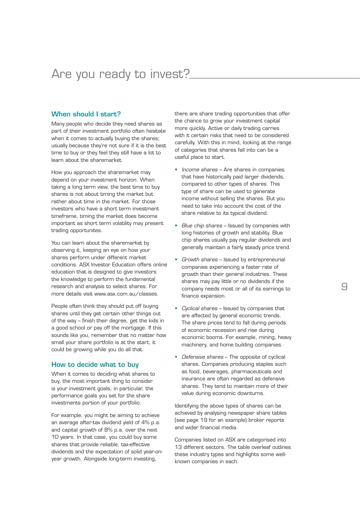## Are you ready to invest?

### When should I start?

Many people who decide they need shares as part of their investment portfolio often hesitate when it comes to actually buying the shares; usually because they're not sure if it is the best time to buy or they feel they still have a lot to learn about the sharemarket.

How you approach the sharemarket may depend on your investment horizon. When taking a long term view, the best time to buy shares is not about timing the market but rather about time in the market. For those investors who have a short term investment timeframe, timing the market does become important as short term volatility may present trading opportunites.

You can learn about the sharemarket by observing it, keeping an eye on how your shares perform under different market conditions. ASX Investor Education offers online education that is designed to give investors the knowledge to perform the fundamental research and analysis to select shares. For more details visit www.asx.com.au/classes.

People often think they should put off buying shares until they get certain other things out of the way – finish their degree, get the kids in a good school or pay off the mortgage. If this sounds like you, remember that no matter how small your share portfolio is at the start, it could be growing while you do all that.

### How to decide what to buy

When it comes to deciding what shares to buy, the most important thing to consider is your investment goals, in particular, the performance goals you set for the share investments portion of your portfolio.

For example, you might be aiming to achieve an average after-tax dividend yield of 4% p.a. and capital growth of 8% p.a. over the next 10 years. In that case, you could buy some shares that provide reliable, tax-effective dividends and the expectation of solid year-onyear growth. Alongside long-term investing,

there are share trading opportunities that offer the chance to grow your investment capital more quickly. Active or daily trading carries with it certain risks that need to be considered carefully. With this in mind, looking at the range of categories that shares fall into can be a useful place to start.

- Income shares Are shares in companies that have historically paid larger dividends, compared to other types of shares. This type of share can be used to generate income without selling the shares. But you need to take into account the cost of the share relative to its typical dividend.
- Blue chip shares Issued by companies with long histories of growth and stability. Blue chip shares usually pay regular dividends and generally maintain a fairly steady price trend.
- Growth shares Issued by entrepreneurial companies experiencing a faster rate of growth than their general industries. These shares may pay little or no dividends if the company needs most or all of its earnings to finance expansion.
- Cyclical shares Issued by companies that are affected by general economic trends. The share prices tend to fall during periods of economic recession and rise during economic booms. For example, mining, heavy machinery, and home building companies.
- Defensive shares The opposite of cyclical shares. Companies producing staples such as food, beverages, pharmaceuticals and insurance are often regarded as defensive shares. They tend to maintain more of their value during economic downturns.

Identifying the above types of shares can be achieved by analysing newspaper share tables (see page 19 for an example) broker reports and wider financial media.

Companies listed on ASX are categorised into 13 different sectors. The table overleaf outlines these industry types and highlights some wellknown companies in each.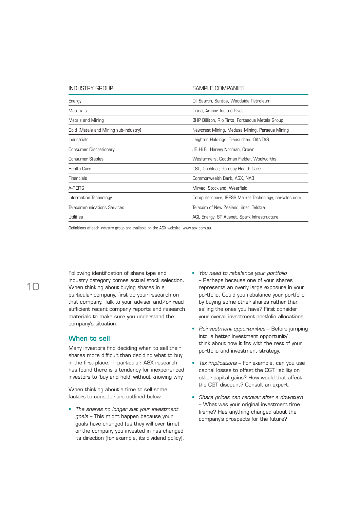| INDUSTRY GROUP                        | SAMPLE COMPANIES                                     |
|---------------------------------------|------------------------------------------------------|
| Energy                                | Oil Search, Santos, Woodside Petroleum               |
| Materials                             | Orica, Amcor, Incitec Pivot                          |
| Metals and Mining                     | BHP Billiton, Rio Tinto, Fortescue Metals Group      |
| Gold (Metals and Mining sub-industry) | Newcrest Mining, Medusa Mining, Perseus Mining       |
| Industrials                           | Leighton Holdings, Transurban, QANTAS                |
| Consumer Discretionary                | JB Hi Fi, Harvey Norman, Crown                       |
| Consumer Staples                      | Wesfarmers, Goodman Fielder, Woolworths              |
| <b>Health Care</b>                    | CSL, Cochlear, Ramsay Health Care                    |
| Financials                            | Commonwealth Bank, ASX, NAB                          |
| A-REITS                               | Mirvac, Stockland, Westfield                         |
| Information Technology                | Computershare, IRESS Market Technology, carsales.com |
| Telecommunications Services           | Telecom of New Zealand, iinet, Telstra               |
| Utilities                             | AGL Energy, SP Ausnet, Spark Infrastructure          |

Definitions of each industry group are available on the ASX website, www.asx.com.au

Following identification of share type and industry category comes actual stock selection. When thinking about buying shares in a particular company, first do your research on that company. Talk to your adviser and/or read sufficient recent company reports and research materials to make sure you understand the company's situation.

### When to sell

 $1<sup>0</sup>$ 

Many investors find deciding when to sell their shares more difficult than deciding what to buy in the first place. In particular, ASX research has found there is a tendency for inexperienced investors to 'buy and hold' without knowing why.

When thinking about a time to sell some factors to consider are outlined below.

• The shares no longer suit your investment goals – This might happen because your goals have changed (as they will over time) or the company you invested in has changed its direction (for example, its dividend policy).

- You need to rebalance your portfolio – Perhaps because one of your shares represents an overly large exposure in your portfolio. Could you rebalance your portfolio by buying some other shares rather than selling the ones you have? First consider your overall investment portfolio allocations.
- Reinvestment opportunities Before jumping into 'a better investment opportunity', think about how it fits with the rest of your portfolio and investment strategy.
- Tax implications For example, can you use capital losses to offset the CGT liability on other capital gains? How would that affect the CGT discount? Consult an expert.
- Share prices can recover after a downturn – What was your original investment time frame? Has anything changed about the company's prospects for the future?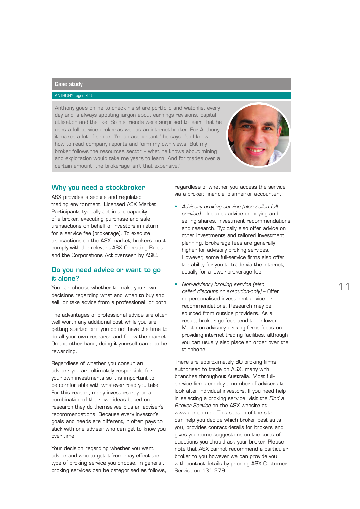## Case study

### ANTHONY (aged 41)

Anthony goes online to check his share portfolio and watchlist every day and is always spouting jargon about earnings revisions, capital utilisation and the like. So his friends were surprised to learn that he uses a full-service broker as well as an internet broker. For Anthony it makes a lot of sense. 'I'm an accountant,' he says, 'so I know how to read company reports and form my own views. But my broker follows the resources sector – what he knows about mining and exploration would take me years to learn. And for trades over a certain amount, the brokerage isn't that expensive.'



## Why you need a stockbroker

ASX provides a secure and regulated trading environment. Licensed ASX Market Participants typically act in the capacity of a broker, executing purchase and sale transactions on behalf of investors in return for a service fee (brokerage). To execute transactions on the ASX market, brokers must comply with the relevant ASX Operating Rules and the Corporations Act overseen by ASIC.

## Do you need advice or want to go it alone?

You can choose whether to make your own decisions regarding what and when to buy and sell, or take advice from a professional, or both.

The advantages of professional advice are often well worth any additional cost while you are getting started or if you do not have the time to do all your own research and follow the market. On the other hand, doing it yourself can also be rewarding.

Regardless of whether you consult an adviser, you are ultimately responsible for your own investments so it is important to be comfortable with whatever road you take. For this reason, many investors rely on a combination of their own ideas based on research they do themselves plus an adviser's recommendations. Because every investor's goals and needs are different, it often pays to stick with one adviser who can get to know you over time.

Your decision regarding whether you want advice and who to get it from may effect the type of broking service you choose. In general, broking services can be categorised as follows, regardless of whether you access the service via a broker, financial planner or accountant:

- Advisory broking service (also called fullservice) – Includes advice on buying and selling shares, investment recommendations and research. Typically also offer advice on other investments and tailored investment planning. Brokerage fees are generally higher for advisory broking services. However, some full-service firms also offer the ability for you to trade via the internet, usually for a lower brokerage fee.
- Non-advisory broking service (also called discount or execution-only) – Offer no personalised investment advice or recommendations. Research may be sourced from outside providers. As a result, brokerage fees tend to be lower. Most non-advisory broking firms focus on providing internet trading facilities, although you can usually also place an order over the telephone.

There are approximately 80 broking firms authorised to trade on ASX, many with branches throughout Australia. Most fullservice firms employ a number of advisers to look after individual investors. If you need help in selecting a broking service, visit the Find a Broker Service on the ASX website at www.asx.com.au This section of the site can help you decide which broker best suits you, provides contact details for brokers and gives you some suggestions on the sorts of questions you should ask your broker. Please note that ASX cannot recommend a particular broker to you however we can provide you with contact details by phoning ASX Customer Service on 131 279.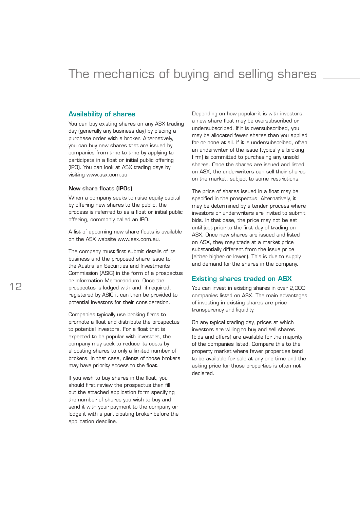## The mechanics of buying and selling shares

## Availability of shares

You can buy existing shares on any ASX trading day (generally any business day) by placing a purchase order with a broker. Alternatively, you can buy new shares that are issued by companies from time to time by applying to participate in a float or initial public offering (IPO). You can look at ASX trading days by visiting www.asx.com.au

### New share floats (IPOs)

When a company seeks to raise equity capital by offering new shares to the public, the process is referred to as a float or initial public offering, commonly called an IPO.

A list of upcoming new share floats is available on the ASX website www.asx.com.au.

The company must first submit details of its business and the proposed share issue to the Australian Securities and Investments Commission (ASIC) in the form of a prospectus or Information Memorandum. Once the prospectus is lodged with and, if required, registered by ASIC it can then be provided to potential investors for their consideration.

Companies typically use broking firms to promote a float and distribute the prospectus to potential investors. For a float that is expected to be popular with investors, the company may seek to reduce its costs by allocating shares to only a limited number of brokers. In that case, clients of those brokers may have priority access to the float.

If you wish to buy shares in the float, you should first review the prospectus then fill out the attached application form specifying the number of shares you wish to buy and send it with your payment to the company or lodge it with a participating broker before the application deadline.

Depending on how popular it is with investors, a new share float may be oversubscribed or undersubscribed. If it is oversubscribed, you may be allocated fewer shares than you applied for or none at all. If it is undersubscribed, often an underwriter of the issue (typically a broking firm) is committed to purchasing any unsold shares. Once the shares are issued and listed on ASX, the underwriters can sell their shares on the market, subject to some restrictions.

The price of shares issued in a float may be specified in the prospectus. Alternatively, it may be determined by a tender process where investors or underwriters are invited to submit bids. In that case, the price may not be set until just prior to the first day of trading on ASX. Once new shares are issued and listed on ASX, they may trade at a market price substantially different from the issue price (either higher or lower). This is due to supply and demand for the shares in the company.

### Existing shares traded on ASX

You can invest in existing shares in over 2,000 companies listed on ASX. The main advantages of investing in existing shares are price transparency and liquidity.

On any typical trading day, prices at which investors are willing to buy and sell shares (bids and offers) are available for the majority of the companies listed. Compare this to the property market where fewer properties tend to be available for sale at any one time and the asking price for those properties is often not declared.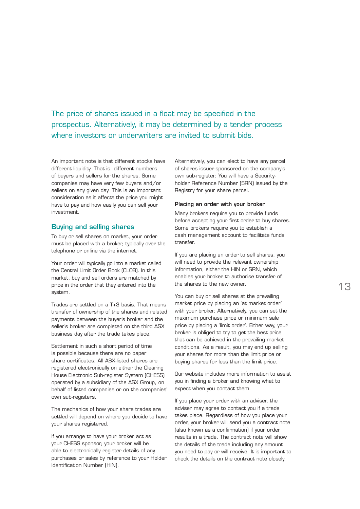The price of shares issued in a float may be specified in the prospectus. Alternatively, it may be determined by a tender process where investors or underwriters are invited to submit bids.

An important note is that different stocks have different liquidity. That is, different numbers of buyers and sellers for the shares. Some companies may have very few buyers and/or sellers on any given day. This is an important consideration as it affects the price you might have to pay and how easily you can sell your investment.

### Buying and selling shares

To buy or sell shares on market, your order must be placed with a broker, typically over the telephone or online via the internet.

Your order will typically go into a market called the Central Limit Order Book (CLOB). In this market, buy and sell orders are matched by price in the order that they entered into the system.

Trades are settled on a T+3 basis. That means transfer of ownership of the shares and related payments between the buyer's broker and the seller's broker are completed on the third ASX business day after the trade takes place.

Settlement in such a short period of time is possible because there are no paper share certificates. All ASX-listed shares are registered electronically on either the Clearing House Electronic Sub-register System (CHESS) operated by a subsidiary of the ASX Group, on behalf of listed companies or on the companies' own sub-registers.

The mechanics of how your share trades are settled will depend on where you decide to have your shares registered.

If you arrange to have your broker act as your CHESS sponsor, your broker will be able to electronically register details of any purchases or sales by reference to your Holder Identification Number (HIN).

Alternatively, you can elect to have any parcel of shares issuer-sponsored on the company's own sub-register. You will have a Securityholder Reference Number (SRN) issued by the Registry for your share parcel.

## Placing an order with your broker

Many brokers require you to provide funds before accepting your first order to buy shares. Some brokers require you to establish a cash management account to facilitate funds transfer.

If you are placing an order to sell shares, you will need to provide the relevant ownership information, either the HIN or SRN, which enables your broker to authorise transfer of the shares to the new owner.

You can buy or sell shares at the prevailing market price by placing an 'at market order' with your broker. Alternatively, you can set the maximum purchase price or minimum sale price by placing a 'limit order'. Either way, your broker is obliged to try to get the best price that can be achieved in the prevailing market conditions. As a result, you may end up selling your shares for more than the limit price or buying shares for less than the limit price.

Our website includes more information to assist you in finding a broker and knowing what to expect when you contact them.

If you place your order with an adviser, the adviser may agree to contact you if a trade takes place. Regardless of how you place your order, your broker will send you a contract note (also known as a confirmation) if your order results in a trade. The contract note will show the details of the trade including any amount you need to pay or will receive. It is important to check the details on the contract note closely.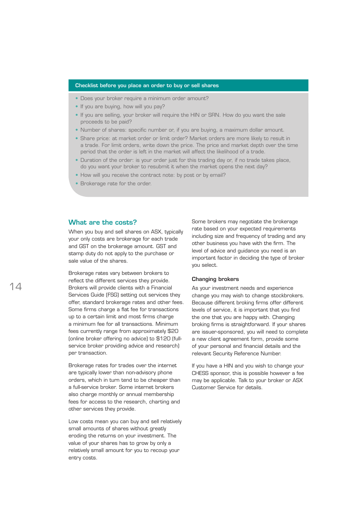### Checklist before you place an order to buy or sell shares

- Does your broker require a minimum order amount?
- If you are buying, how will you pay?
- If you are selling, your broker will require the HIN or SRN. How do you want the sale proceeds to be paid?
- Number of shares: specific number or, if you are buying, a maximum dollar amount.
- Share price: at market order or limit order? Market orders are more likely to result in a trade. For limit orders, write down the price. The price and market depth over the time period that the order is left in the market will affect the likelihood of a trade.
- Duration of the order: is your order just for this trading day or, if no trade takes place, do you want your broker to resubmit it when the market opens the next day?
- How will you receive the contract note: by post or by email?
- Brokerage rate for the order.

### What are the costs?

When you buy and sell shares on ASX, typically your only costs are brokerage for each trade and GST on the brokerage amount. GST and stamp duty do not apply to the purchase or sale value of the shares.

Brokerage rates vary between brokers to reflect the different services they provide. Brokers will provide clients with a Financial Services Guide (FSG) setting out services they offer, standard brokerage rates and other fees. Some firms charge a flat fee for transactions up to a certain limit and most firms charge a minimum fee for all transactions. Minimum fees currently range from approximately \$20 (online broker offering no advice) to \$120 (fullservice broker providing advice and research) per transaction.

Brokerage rates for trades over the internet are typically lower than non-advisory phone orders, which in turn tend to be cheaper than a full-service broker. Some internet brokers also charge monthly or annual membership fees for access to the research, charting and other services they provide.

Low costs mean you can buy and sell relatively small amounts of shares without greatly eroding the returns on your investment. The value of your shares has to grow by only a relatively small amount for you to recoup your entry costs.

Some brokers may negotiate the brokerage rate based on your expected requirements including size and frequency of trading and any other business you have with the firm. The level of advice and guidance you need is an important factor in deciding the type of broker you select.

### Changing brokers

As your investment needs and experience change you may wish to change stockbrokers. Because different broking firms offer different levels of service, it is important that you find the one that you are happy with. Changing broking firms is straightforward. If your shares are issuer-sponsored, you will need to complete a new client agreement form, provide some of your personal and financial details and the relevant Security Reference Number.

If you have a HIN and you wish to change your CHESS sponsor, this is possible however a fee may be applicable. Talk to your broker or ASX Customer Service for details.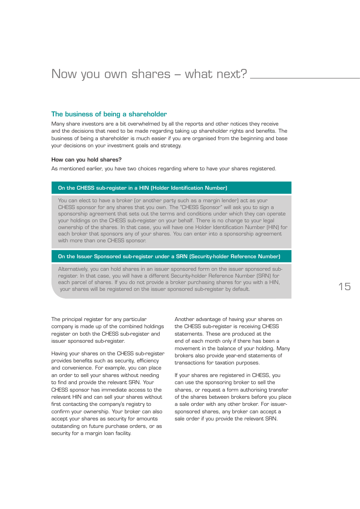## The business of being a shareholder

Many share investors are a bit overwhelmed by all the reports and other notices they receive and the decisions that need to be made regarding taking up shareholder rights and benefits. The business of being a shareholder is much easier if you are organised from the beginning and base your decisions on your investment goals and strategy.

### How can you hold shares?

As mentioned earlier, you have two choices regarding where to have your shares registered.

### On the CHESS sub-register in a HIN (Holder Identification Number)

You can elect to have a broker (or another party such as a margin lender) act as your CHESS sponsor for any shares that you own. The "CHESS Sponsor" will ask you to sign a sponsorship agreement that sets out the terms and conditions under which they can operate your holdings on the CHESS sub-register on your behalf. There is no change to your legal ownership of the shares. In that case, you will have one Holder Identification Number (HIN) for each broker that sponsors any of your shares. You can enter into a sponsorship agreement with more than one CHESS sponsor.

## On the Issuer Sponsored sub-register under a SRN (Security-holder Reference Number)

Alternatively, you can hold shares in an issuer sponsored form on the issuer sponsored subregister. In that case, you will have a different Security-holder Reference Number (SRN) for each parcel of shares. If you do not provide a broker purchasing shares for you with a HIN, your shares will be registered on the issuer sponsored sub-register by default.

The principal register for any particular company is made up of the combined holdings register on both the CHESS sub-register and issuer sponsored sub-register.

Having your shares on the CHESS sub-register provides benefits such as security, efficiency and convenience. For example, you can place an order to sell your shares without needing to find and provide the relevant SRN. Your CHESS sponsor has immediate access to the relevant HIN and can sell your shares without first contacting the company's registry to confirm your ownership. Your broker can also accept your shares as security for amounts outstanding on future purchase orders, or as security for a margin loan facility.

Another advantage of having your shares on the CHESS sub-register is receiving CHESS statements. These are produced at the end of each month only if there has been a movement in the balance of your holding. Many brokers also provide year-end statements of transactions for taxation purposes.

If your shares are registered in CHESS, you can use the sponsoring broker to sell the shares, or request a form authorising transfer of the shares between brokers before you place a sale order with any other broker. For issuersponsored shares, any broker can accept a sale order if you provide the relevant SRN.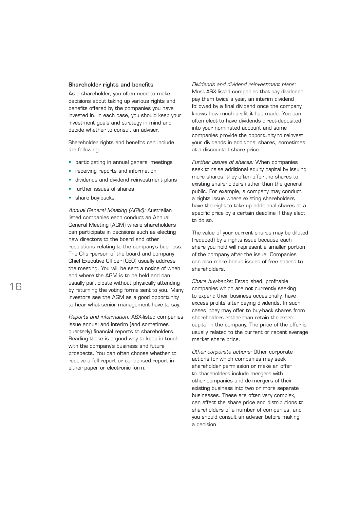### Shareholder rights and benefits

As a shareholder, you often need to make decisions about taking up various rights and benefits offered by the companies you have invested in. In each case, you should keep your investment goals and strategy in mind and decide whether to consult an adviser.

Shareholder rights and benefits can include the following:

- participating in annual general meetings
- receiving reports and information
- dividends and dividend reinvestment plans
- further issues of shares
- share buy-backs.

Annual General Meeting (AGM): Australian listed companies each conduct an Annual General Meeting (AGM) where shareholders can participate in decisions such as electing new directors to the board and other resolutions relating to the company's business. The Chairperson of the board and company Chief Executive Officer (CEO) usually address the meeting. You will be sent a notice of when and where the AGM is to be held and can usually participate without physically attending by returning the voting forms sent to you. Many investors see the AGM as a good opportunity to hear what senior management have to say.

Reports and information: ASX-listed companies issue annual and interim (and sometimes quarterly) financial reports to shareholders. Reading these is a good way to keep in touch with the company's business and future prospects. You can often choose whether to receive a full report or condensed report in either paper or electronic form.

Dividends and dividend reinvestment plans: Most ASX-listed companies that pay dividends pay them twice a year, an interim dividend followed by a final dividend once the company knows how much profit it has made. You can often elect to have dividends direct-deposited into your nominated account and some companies provide the opportunity to reinvest your dividends in additional shares, sometimes at a discounted share price.

Further issues of shares: When companies seek to raise additional equity capital by issuing more shares, they often offer the shares to existing shareholders rather than the general public. For example, a company may conduct a rights issue where existing shareholders have the right to take up additional shares at a specific price by a certain deadline if they elect to do so.

The value of your current shares may be diluted (reduced) by a rights issue because each share you hold will represent a smaller portion of the company after the issue. Companies can also make bonus issues of free shares to shareholders.

Share buy-backs: Established, profitable companies which are not currently seeking to expand their business occasionally, have excess profits after paying dividends. In such cases, they may offer to buy-back shares from shareholders rather than retain the extra capital in the company. The price of the offer is usually related to the current or recent average market share price.

Other corporate actions: Other corporate actions for which companies may seek shareholder permission or make an offer to shareholders include mergers with other companies and de-mergers of their existing business into two or more separate businesses. These are often very complex, can affect the share price and distributions to shareholders of a number of companies, and you should consult an adviser before making a decision.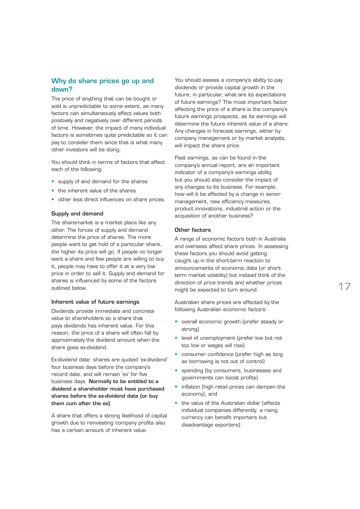## Why do share prices go up and down?

The price of anything that can be bought or sold is unpredictable to some extent, as many factors can simultaneously affect values both positively and negatively over different periods of time. However, the impact of many individual factors is sometimes quite predictable so it can pay to consider them since that is what many other investors will be doing.

You should think in terms of factors that affect each of the following:

- supply of and demand for the shares
- the inherent value of the shares
- other less direct influences on share prices.

### Supply and demand

The sharemarket is a market place like any other. The forces of supply and demand determine the price of shares. The more people want to get hold of a particular share, the higher its price will go. If people no longer want a share and few people are willing to buy it, people may have to offer it at a very low price in order to sell it. Supply and demand for shares is influenced by some of the factors outlined below.

### Inherent value of future earnings

Dividends provide immediate and concrete value to shareholders so a share that pays dividends has inherent value. For this reason, the price of a share will often fall by approximately the dividend amount when the share goes ex-dividend.

Ex-dividend date: shares are quoted 'ex-dividend' four business days before the company's record date, and will remain 'ex' for five business days. Normally to be entitled to a dividend a shareholder must have purchased shares before the ex-dividend date (or buy them cum after the ex).

A share that offers a strong likelihood of capital growth due to reinvesting company profits also has a certain amount of inherent value.

You should assess a company's ability to pay dividends or provide capital growth in the future; in particular, what are its expectations of future earnings? The most important factor affecting the price of a share is the company's future earnings prospects, as its earnings will determine the future inherent value of a share. Any changes in forecast earnings, either by company management or by market analysts, will impact the share price.

Past earnings, as can be found in the company's annual report, are an important indicator of a company's earnings ability, but you should also consider the impact of any changes to its business. For example, how will it be affected by a change in senior management, new efficiency measures, product innovations, industrial action or the acquisition of another business?

### Other factors

A range of economic factors both in Australia and overseas affect share prices. In assessing these factors you should avoid getting caught up in the short-term reaction to announcements of economic data (or shortterm market volatility) but instead think of the direction of price trends and whether prices might be expected to turn around.

Australian share prices are affected by the following Australian economic factors:

- overall economic growth (prefer steady or strong)
- level of unemployment (prefer low but not too low or wages will rise)
- consumer confidence (prefer high as long as borrowing is not out of control)
- spending (by consumers, businesses and governments can boost profits)
- inflation (high retail prices can dampen the economy), and
- the value of the Australian dollar (affects individual companies differently: a rising currency can benefit importers but disadvantage exporters).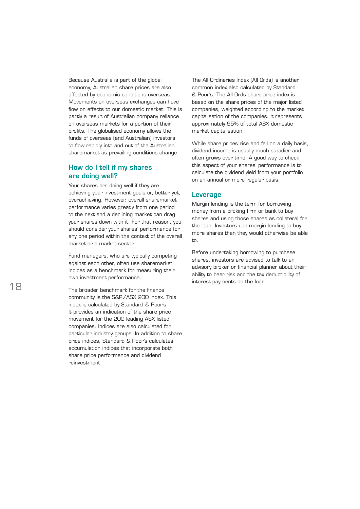Because Australia is part of the global economy, Australian share prices are also affected by economic conditions overseas. Movements on overseas exchanges can have flow on effects to our domestic market. This is partly a result of Australian company reliance on overseas markets for a portion of their profits. The globalised economy allows the funds of overseas (and Australian) investors to flow rapidly into and out of the Australian sharemarket as prevailing conditions change.

## How do I tell if my shares are doing well?

Your shares are doing well if they are achieving your investment goals or, better yet, overachieving. However, overall sharemarket performance varies greatly from one period to the next and a declining market can drag your shares down with it. For that reason, you should consider your shares' performance for any one period within the context of the overall market or a market sector.

Fund managers, who are typically competing against each other, often use sharemarket indices as a benchmark for measuring their own investment performance.

The broader benchmark for the finance community is the S&P/ASX 200 index. This index is calculated by Standard & Poor's. It provides an indication of the share price movement for the 200 leading ASX listed companies. Indices are also calculated for particular industry groups. In addition to share price indices, Standard & Poor's calculates accumulation indices that incorporate both share price performance and dividend reinvestment.

The All Ordinaries Index (All Ords) is another common index also calculated by Standard & Poor's. The All Ords share price index is based on the share prices of the major listed companies, weighted according to the market capitalisation of the companies. It represents approximately 95% of total ASX domestic market capitalisation.

While share prices rise and fall on a daily basis, dividend income is usually much steadier and often grows over time. A good way to check this aspect of your shares' performance is to calculate the dividend yield from your portfolio on an annual or more regular basis.

### Leverage

Margin lending is the term for borrowing money from a broking firm or bank to buy shares and using those shares as collateral for the loan. Investors use margin lending to buy more shares than they would otherwise be able to.

Before undertaking borrowing to purchase shares, investors are advised to talk to an advisory broker or financial planner about their ability to bear risk and the tax deductibility of interest payments on the loan.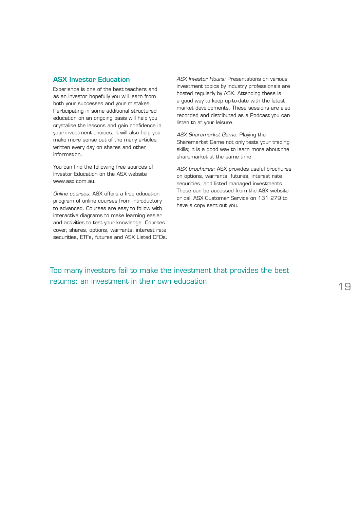## ASX Investor Education

Experience is one of the best teachers and as an investor hopefully you will learn from both your successes and your mistakes. Participating in some additional structured education on an ongoing basis will help you crystalise the lessons and gain confidence in your investment choices. It will also help you make more sense out of the many articles written every day on shares and other information.

You can find the following free sources of Investor Education on the ASX website www.asx.com.au.

Online courses: ASX offers a free education program of online courses from introductory to advanced. Courses are easy to follow with interactive diagrams to make learning easier and activities to test your knowledge. Courses cover, shares, options, warrants, interest rate securities, ETFs, futures and ASX Listed CFDs. ASX Investor Hours: Presentations on various investment topics by industry professionals are hosted regularly by ASX. Attending these is a good way to keep up-to-date with the latest market developments. These sessions are also recorded and distributed as a Podcast you can listen to at your leisure.

ASX Sharemarket Game: Playing the Sharemarket Game not only tests your trading skills; it is a good way to learn more about the sharemarket at the same time.

ASX brochures: ASX provides useful brochures on options, warrants, futures, interest rate securities, and listed managed investments. These can be accessed from the ASX website or call ASX Customer Service on 131 279 to have a copy sent out you.

Too many investors fail to make the investment that provides the best returns: an investment in their own education.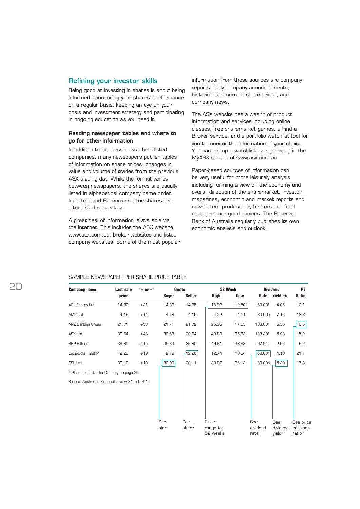## Refining your investor skills

Being good at investing in shares is about being informed, monitoring your shares' performance on a regular basis, keeping an eye on your goals and investment strategy and participating in ongoing education as you need it.

### Reading newspaper tables and where to go for other information

In addition to business news about listed companies, many newspapers publish tables of information on share prices, changes in value and volume of trades from the previous ASX trading day. While the format varies between newspapers, the shares are usually listed in alphabetical company name order. Industrial and Resource sector shares are often listed separately.

A great deal of information is available via the internet. This includes the ASX website www.asx.com.au, broker websites and listed company websites. Some of the most popular information from these sources are company reports, daily company announcements, historical and current share prices, and company news.

The ASX website has a wealth of product information and services including online classes, free sharemarket games, a Find a Broker service, and a portfolio watchlist tool for you to monitor the information of your choice. You can set up a watchlist by registering in the MyASX section of www.asx.com.au

Paper-based sources of information can be very useful for more leisurely analysis including forming a view on the economy and overall direction of the sharemarket. Investor magazines, economic and market reports and newsletters produced by brokers and fund managers are good choices. The Reserve Bank of Australia regularly publishes its own economic analysis and outlook.

## SAMPLE NEWSPAPER PER SHARE PRICE TABLE

| <b>Company name</b>                             | Last sale |        | <b>Quote</b><br>$4 + ar - 4$ |               | 52 Week               |       | <b>Dividend</b>     |                    | <b>PE</b>          |
|-------------------------------------------------|-----------|--------|------------------------------|---------------|-----------------------|-------|---------------------|--------------------|--------------------|
|                                                 | price     |        | <b>Buyer</b>                 | <b>Seller</b> | High                  | Low   | Rate                | Yield %            | Ratio              |
| <b>AGL Energy Ltd</b>                           | 14.82     | $+21$  | 14.82                        | 14.85         | 16.92                 | 12.50 | 60.00f              | 4.05               | 12.1               |
| AMP Ltd                                         | 4.19      | $+14$  | 4.18                         | 4.19          | 4.22                  | 4.11  | 30.00p              | 7.16               | 13.3               |
| ANZ Banking Group                               | 21.71     | $+50$  | 21.71                        | 21.72         | 25.96                 | 17.63 | 138.00f             | 6.36               | 10.5               |
| ASX Ltd                                         | 30.64     | $+48$  | 30.63                        | 30.64         | 43.89                 | 25.83 | 183.20f             | 5.98               | 15.2               |
| <b>BHP Billiton</b>                             | 36.85     | $+115$ | 36.84                        | 36.85         | 49.81                 | 33.68 | 97.94f              | 2.66               | 9.2                |
| Coca-Cola matilA                                | 12.20     | $+19$  | 12.19                        | 12.20         | 12.74                 | 10.04 | 50.00f              | 4.10               | 21.1               |
| CSL Ltd                                         | 30.10     | $+10$  | 30.09                        | 30.11         | 38.07                 | 26.12 | 80.00p              | 5.20               | 17.3               |
| * Please refer to the Glossary on page 26       |           |        |                              |               |                       |       |                     |                    |                    |
| Source: Australian Financial review 24 Oct 2011 |           |        |                              |               |                       |       |                     |                    |                    |
|                                                 |           |        |                              |               |                       |       |                     |                    |                    |
|                                                 |           |        |                              |               |                       |       |                     |                    |                    |
|                                                 |           |        |                              |               |                       |       |                     |                    |                    |
|                                                 |           |        |                              |               |                       |       |                     |                    |                    |
|                                                 |           |        | See                          | See           | Price                 |       | See                 | See                | See price          |
|                                                 |           |        | bid*                         | offer*        | range for<br>52 weeks |       | dividend<br>$rate*$ | dividend<br>vield* | earnings<br>ratio* |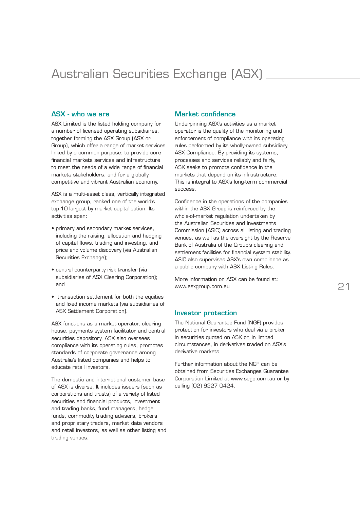## Australian Securities Exchange (ASX)

## ASX - who we are

ASX Limited is the listed holding company for a number of licensed operating subsidiaries, together forming the ASX Group (ASX or Group), which offer a range of market services linked by a common purpose: to provide core financial markets services and infrastructure to meet the needs of a wide range of financial markets stakeholders, and for a globally competitive and vibrant Australian economy.

ASX is a multi-asset class, vertically integrated exchange group, ranked one of the world's top-10 largest by market capitalisation. Its activities span:

- primary and secondary market services, including the raising, allocation and hedging of capital flows, trading and investing, and price and volume discovery (via Australian Securities Exchange);
- central counterparty risk transfer (via subsidiaries of ASX Clearing Corporation); and
- transaction settlement for both the equities and fixed income markets (via subsidiaries of ASX Settlement Corporation).

ASX functions as a market operator, clearing house, payments system facilitator and central securities depository. ASX also oversees compliance with its operating rules, promotes standards of corporate governance among Australia's listed companies and helps to educate retail investors.

The domestic and international customer base of ASX is diverse. It includes issuers (such as corporations and trusts) of a variety of listed securities and financial products, investment and trading banks, fund managers, hedge funds, commodity trading advisers, brokers and proprietary traders, market data vendors and retail investors, as well as other listing and trading venues.

## Market confidence

Underpinning ASX's activities as a market operator is the quality of the monitoring and enforcement of compliance with its operating rules performed by its wholly-owned subsidiary, ASX Compliance. By providing its systems, processes and services reliably and fairly, ASX seeks to promote confidence in the markets that depend on its infrastructure. This is integral to ASX's long-term commercial success.

Confidence in the operations of the companies within the ASX Group is reinforced by the whole-of-market regulation undertaken by the Australian Securities and Investments Commission (ASIC) across all listing and trading venues, as well as the oversight by the Reserve Bank of Australia of the Group's clearing and settlement facilities for financial system stability. ASIC also supervises ASX's own compliance as a public company with ASX Listing Rules.

More information on ASX can be found at: www.asxgroup.com.au

### Investor protection

The National Guarantee Fund (NGF) provides protection for investors who deal via a broker in securities quoted on ASX or, in limited circumstances, in derivatives traded on ASX's derivative markets.

Further information about the NGF can be obtained from Securities Exchanges Guarantee Corporation Limited at www.segc.com.au or by calling (02) 9227 0424.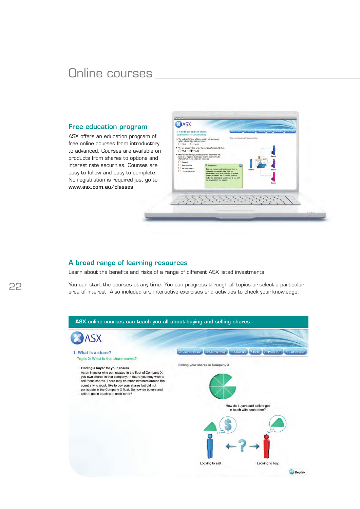## Online courses\_

## Free education program

ASX offers an education program of free online courses from introductor to advanced. Courses are available o products from shares to options and interest rate securities. Courses are easy to follow and easy to complete. No registration is required just go to <www.asx.com.au/classes>

| 5. How to buy and sell shares<br>Quiz: Cluck your understanding<br>4. The trading of shares is like an auction with buyers and | communications of the Character Characters (Assembly<br>You can have more than one broker                                                                                                                                                                                                                                                             |
|--------------------------------------------------------------------------------------------------------------------------------|-------------------------------------------------------------------------------------------------------------------------------------------------------------------------------------------------------------------------------------------------------------------------------------------------------------------------------------------------------|
| sellers offering their preferred prices.<br><b>FALSE</b><br><b>C</b> TRUE                                                      |                                                                                                                                                                                                                                                                                                                                                       |
| TRUE + FALSE                                                                                                                   | 5. You are only permitted to use the services of one stockbroker.                                                                                                                                                                                                                                                                                     |
| sharemarket. These orders are known as<br>Day only<br>Market orders<br>Fill or kill orders<br>Conditional orders               | <b><i><u>Hanot</u></i></b><br><b>Enedback</b><br>Correct. Investors can use the services of<br>Broker<br>Investor<br>more than one stockbroker. Different<br>stockbrokers offer different levels of service<br>and have different fee structures. You can<br>match the stockbroker you choose to use with<br>the services that you require.<br>Broker |
|                                                                                                                                |                                                                                                                                                                                                                                                                                                                                                       |
|                                                                                                                                |                                                                                                                                                                                                                                                                                                                                                       |

## A broad range of learning resources

Learn about the benefits and risks of a range of different ASX listed investments.

You can start the courses at any time. You can progress through all topics or select a particular area of interest. Also included are interactive exercises and activities to check your knowledge.

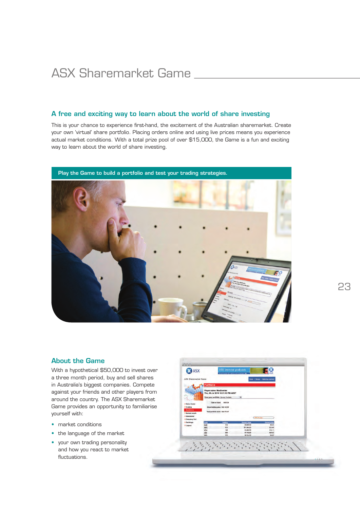## ASX Sharemarket Game

## A free and exciting way to learn about the world of share investing

This is your chance to experience first-hand, the excitement of the Australian sharemarket. Create your own 'virtual' share portfolio. Placing orders online and using live prices means you experience actual market conditions. With a total prize pool of over \$15,000, the Game is a fun and exciting way to learn about the world of share investing.



## About the Game

With a hypothetical \$50,000 to invest over a three month period, buy and sell shares in Australia's biggest companies. Compete against your friends and other players from around the country. The ASX Sharemarket Game provides an opportunity to familiarise yourself with:

- market conditions
- the language of the market
- your own trading personality and how you react to market fluctuations.

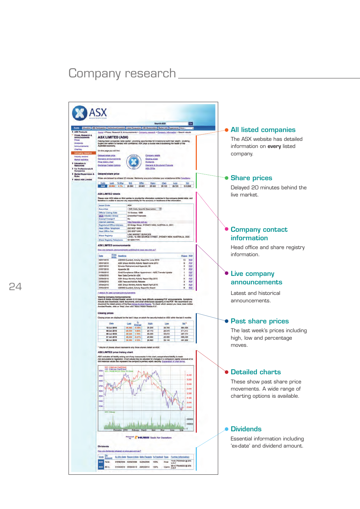## Company research



24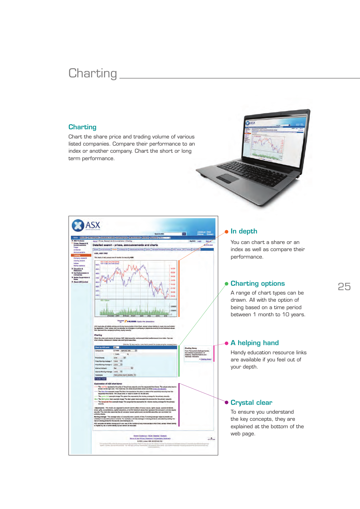## Charting<sub>\_\_\_\_\_\_\_</sub>

## **Charting**

Chart the share price and trading volume of various listed companies. Compare their performance to an index or another company. Chart the short or long term performance.



## In depth

You can chart a share or an index as well as compare their performance.

## Charting options

A range of chart types can be drawn. All with the option of being based on a time period between 1 month to 10 years.

## **A** helping hand

Handy education resource links are available if you feel out of your depth.

## **Crystal clear**

To ensure you understand the key concepts, they are explained at the bottom of the web page.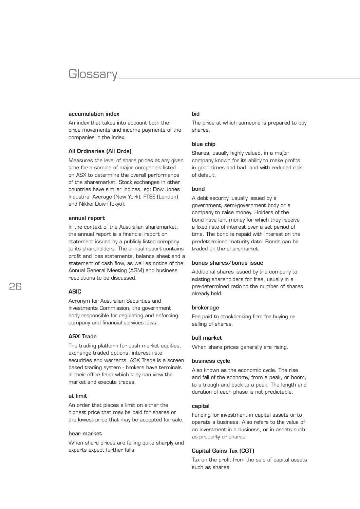## Glossary\_\_\_\_\_

### accumulation index

An index that takes into account both the price movements and income payments of the companies in the index.

### All Ordinaries (All Ords)

Measures the level of share prices at any given time for a sample of major companies listed on ASX to determine the overall performance of the sharemarket. Stock exchanges in other countries have similar indices, eg: Dow Jones Industrial Average (New York), FTSE (London) and Nikkei Dow (Tokyo).

### annual report

In the context of the Australian sharemarket, the annual report is a financial report or statement issued by a publicly listed company to its shareholders. The annual report contains profit and loss statements, balance sheet and a statement of cash flow, as well as notice of the Annual General Meeting (AGM) and business resolutions to be discussed.

#### ASIC

Acronym for Australian Securities and Investments Commission, the government body responsible for regulating and enforcing company and financial services laws.

### ASX Trade

The trading platform for cash market equities, exchange traded options, interest rate securities and warrants. ASX Trade is a screen based trading system - brokers have terminals in their office from which they can view the market and execute trades.

### at limit

An order that places a limit on either the highest price that may be paid for shares or the lowest price that may be accepted for sale.

### bear market

When share prices are falling quite sharply and experts expect further falls.

## bid

The price at which someone is prepared to buy shares.

### blue chip

Shares, usually highly valued, in a major company known for its ability to make profits in good times and bad, and with reduced risk of default.

## bond

A debt security, usually issued by a government, semi-government body or a company to raise money. Holders of the bond have lent money for which they receive a fixed rate of interest over a set period of time. The bond is repaid with interest on the predetermined maturity date. Bonds can be traded on the sharemarket.

#### bonus shares/bonus issue

Additional shares issued by the company to existing shareholders for free, usually in a pre-determined ratio to the number of shares already held.

### brokerage

Fee paid to stockbroking firm for buying or selling of shares.

### bull market

When share prices generally are rising.

### business cycle

Also known as the economic cycle. The rise and fall of the economy, from a peak, or boom, to a trough and back to a peak. The length and duration of each phase is not predictable.

### capital

Funding for investment in capital assets or to operate a business. Also refers to the value of an investment in a business, or in assets such as property or shares.

#### Capital Gains Tax (CGT)

Tax on the profit from the sale of capital assets such as shares.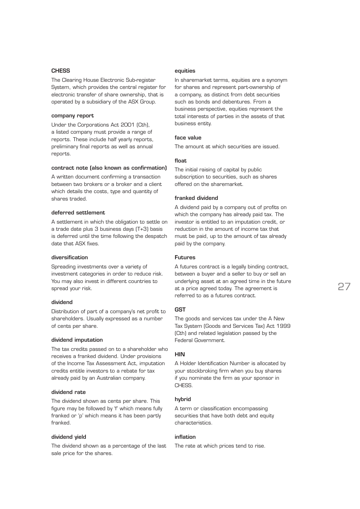### **CHESS**

The Clearing House Electronic Sub-register System, which provides the central register for electronic transfer of share ownership, that is operated by a subsidiary of the ASX Group.

### company report

Under the Corporations Act 2001 (Cth), a listed company must provide a range of reports. These include half yearly reports, preliminary final reports as well as annual reports.

### contract note (also known as confirmation)

A written document confirming a transaction between two brokers or a broker and a client which details the costs, type and quantity of shares traded.

### deferred settlement

A settlement in which the obligation to settle on a trade date plus 3 business days (T+3) basis is deferred until the time following the despatch date that ASX fixes.

### diversification

Spreading investments over a variety of investment categories in order to reduce risk. You may also invest in different countries to spread your risk.

### dividend

Distribution of part of a company's net profit to shareholders. Usually expressed as a number of cents per share.

### dividend imputation

The tax credits passed on to a shareholder who receives a franked dividend. Under provisions of the Income Tax Assessment Act, imputation credits entitle investors to a rebate for tax already paid by an Australian company.

### dividend rate

The dividend shown as cents per share. This figure may be followed by 'f' which means fully franked or 'p' which means it has been partly franked.

### dividend yield

The dividend shown as a percentage of the last sale price for the shares.

### equities

In sharemarket terms, equities are a synonym for shares and represent part-ownership of a company, as distinct from debt securities such as bonds and debentures. From a business perspective, equities represent the total interests of parties in the assets of that business entity.

### face value

The amount at which securities are issued.

### float

The initial raising of capital by public subscription to securities, such as shares offered on the sharemarket.

### franked dividend

A dividend paid by a company out of profits on which the company has already paid tax. The investor is entitled to an imputation credit, or reduction in the amount of income tax that must be paid, up to the amount of tax already paid by the company.

### Futures

A futures contract is a legally binding contract, between a buyer and a seller to buy or sell an underlying asset at an agreed time in the future at a price agreed today. The agreement is referred to as a futures contract.

### **GST**

The goods and services tax under the A New Tax System (Goods and Services Tax) Act 1999 (Cth) and related legislation passed by the Federal Government.

### **HIN**

A Holder Identification Number is allocated by your stockbroking firm when you buy shares if you nominate the firm as your sponsor in CHESS.

### hybrid

A term or classification encompassing securities that have both debt and equity characteristics.

### inflation

The rate at which prices tend to rise.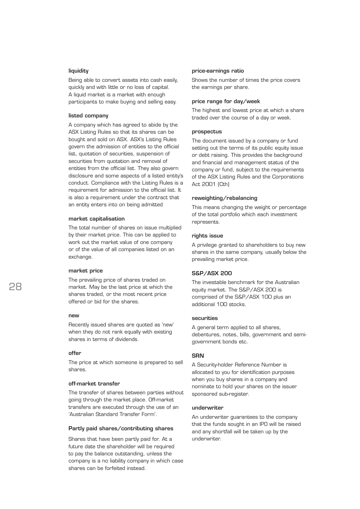### liquidity

Being able to convert assets into cash easily, quickly and with little or no loss of capital. A liquid market is a market with enough participants to make buying and selling easy.

### listed company

A company which has agreed to abide by the ASX Listing Rules so that its shares can be bought and sold on ASX. ASX's Listing Rules govern the admission of entities to the official list, quotation of securities, suspension of securities from quotation and removal of entities from the official list. They also govern disclosure and some aspects of a listed entity's conduct. Compliance with the Listing Rules is a requirement for admission to the official list. It is also a requirement under the contract that an entity enters into on being admitted

### market capitalisation

The total number of shares on issue multiplied by their market price. This can be applied to work out the market value of one company or of the value of all companies listed on an exchange.

### market price

The prevailing price of shares traded on market. May be the last price at which the shares traded, or the most recent price offered or bid for the shares.

### new

Recently issued shares are quoted as 'new' when they do not rank equally with existing shares in terms of dividends.

### offer

The price at which someone is prepared to sell shares.

### off-market transfer

The transfer of shares between parties without going through the market place. Off-market transfers are executed through the use of an 'Australian Standard Transfer Form'.

### Partly paid shares/contributing shares

Shares that have been partly paid for. At a future date the shareholder will be required to pay the balance outstanding, unless the company is a no liability company in which case shares can be forfeited instead.

### price-earnings ratio

Shows the number of times the price covers the earnings per share.

### price range for day/week

The highest and lowest price at which a share traded over the course of a day or week.

### prospectus

The document issued by a company or fund setting out the terms of its public equity issue or debt raising. This provides the background and financial and management status of the company or fund, subject to the requirements of the ASX Listing Rules and the Corporations Act 2001 (Cth)

### reweighting/rebalancing

This means changing the weight or percentage of the total portfolio which each investment represents.

### rights issue

A privilege granted to shareholders to buy new shares in the same company, usually below the prevailing market price.

### S&P/ASX 200

The investable benchmark for the Australian equity market. The S&P/ASX 200 is comprised of the S&P/ASX 100 plus an additional 100 stocks.

### securities

A general term applied to all shares, debentures, notes, bills, government and semigovernment bonds etc.

### **SRN**

A Security-holder Reference Number is allocated to you for identification purposes when you buy shares in a company and nominate to hold your shares on the issuer sponsored sub-register.

### underwriter

An underwriter guarantees to the company that the funds sought in an IPO will be raised and any shortfall will be taken up by the underwriter.